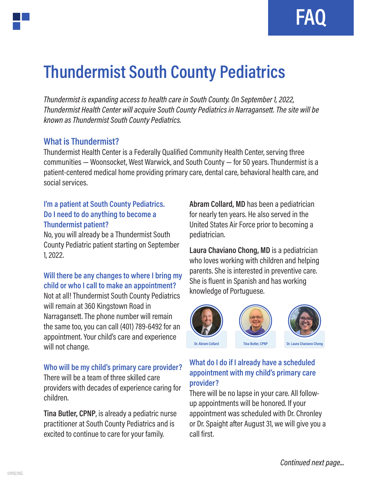**FAQ**

# **Thundermist South County Pediatrics**

*Thundermist is expanding access to health care in South County. On September 1, 2022, Thundermist Health Center will acquire South County Pediatrics in Narragansett. The site will be known as Thundermist South County Pediatrics.* 

### **What is Thundermist?**

Thundermist Health Center is a Federally Qualified Community Health Center, serving three communities — Woonsocket, West Warwick, and South County — for 50 years. Thundermist is a patient-centered medical home providing primary care, dental care, behavioral health care, and social services.

#### **I'm a patient at South County Pediatrics. Do I need to do anything to become a Thundermist patient?**

No, you will already be a Thundermist South County Pediatric patient starting on September 1, 2022.

## **Will there be any changes to where I bring my child or who I call to make an appointment?**

Not at all! Thundermist South County Pediatrics will remain at 360 Kingstown Road in Narragansett. The phone number will remain the same too, you can call (401) 789-6492 for an appointment. Your child's care and experience will not change.

#### **Who will be my child's primary care provider?**

There will be a team of three skilled care providers with decades of experience caring for children.

**Tina Butler, CPNP**, is already a pediatric nurse practitioner at South County Pediatrics and is excited to continue to care for your family.

**Abram Collard, MD** has been a pediatrician for nearly ten years. He also served in the United States Air Force prior to becoming a pediatrician.

**Laura Chaviano Chong, MD** is a pediatrician who loves working with children and helping parents. She is interested in preventive care. She is fluent in Spanish and has working knowledge of Portuguese.





### **What do I do if I already have a scheduled appointment with my child's primary care provider?**

There will be no lapse in your care. All followup appointments will be honored. If your appointment was scheduled with Dr. Chronley or Dr. Spaight after August 31, we will give you a call first.